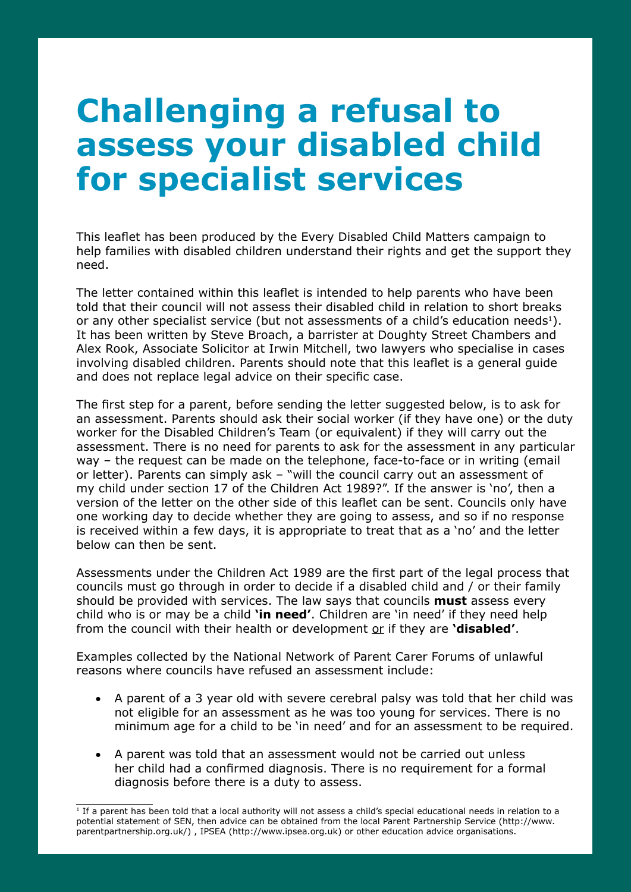## **Challenging a refusal to assess your disabled child for specialist services**

This leaflet has been produced by the Every Disabled Child Matters campaign to help families with disabled children understand their rights and get the support they need.

The letter contained within this leaflet is intended to help parents who have been told that their council will not assess their disabled child in relation to short breaks or any other specialist service (but not assessments of a child's education needs<sup>1</sup>). It has been written by Steve Broach, a barrister at Doughty Street Chambers and Alex Rook, Associate Solicitor at Irwin Mitchell, two lawyers who specialise in cases involving disabled children. Parents should note that this leaflet is a general guide and does not replace legal advice on their specific case.

The first step for a parent, before sending the letter suggested below, is to ask for an assessment. Parents should ask their social worker (if they have one) or the duty worker for the Disabled Children's Team (or equivalent) if they will carry out the assessment. There is no need for parents to ask for the assessment in any particular way – the request can be made on the telephone, face-to-face or in writing (email or letter). Parents can simply ask – "will the council carry out an assessment of my child under section 17 of the Children Act 1989?". If the answer is 'no', then a version of the letter on the other side of this leaflet can be sent. Councils only have one working day to decide whether they are going to assess, and so if no response is received within a few days, it is appropriate to treat that as a 'no' and the letter below can then be sent.

Assessments under the Children Act 1989 are the first part of the legal process that councils must go through in order to decide if a disabled child and / or their family should be provided with services. The law says that councils **must** assess every child who is or may be a child **'in need'**. Children are 'in need' if they need help from the council with their health or development or if they are **'disabled'**.

Examples collected by the National Network of Parent Carer Forums of unlawful reasons where councils have refused an assessment include:

- • A parent of a 3 year old with severe cerebral palsy was told that her child was not eligible for an assessment as he was too young for services. There is no minimum age for a child to be 'in need' and for an assessment to be required.
- • A parent was told that an assessment would not be carried out unless her child had a confirmed diagnosis. There is no requirement for a formal diagnosis before there is a duty to assess.

 $1$  If a parent has been told that a local authority will not assess a child's special educational needs in relation to a potential statement of SEN, then advice can be obtained from the local Parent Partnership Service (http://www. parentpartnership.org.uk/) , IPSEA (http://www.ipsea.org.uk) or other education advice organisations.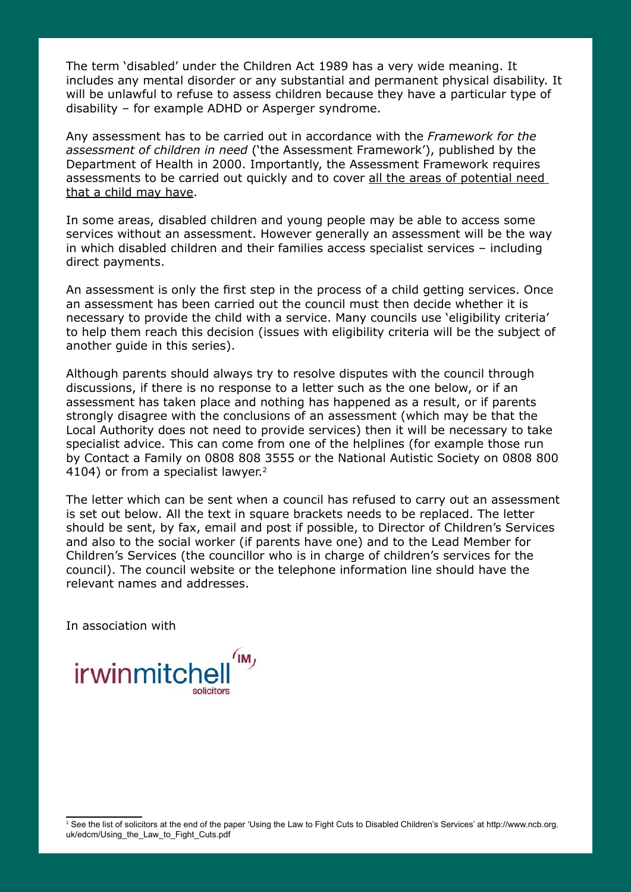The term 'disabled' under the Children Act 1989 has a very wide meaning. It includes any mental disorder or any substantial and permanent physical disability. It will be unlawful to refuse to assess children because they have a particular type of disability – for example ADHD or Asperger syndrome.

Any assessment has to be carried out in accordance with the *Framework for the assessment of children in need* ('the Assessment Framework'), published by the Department of Health in 2000. Importantly, the Assessment Framework requires assessments to be carried out quickly and to cover all the areas of potential need that a child may have.

In some areas, disabled children and young people may be able to access some services without an assessment. However generally an assessment will be the way in which disabled children and their families access specialist services – including direct payments.

An assessment is only the first step in the process of a child getting services. Once an assessment has been carried out the council must then decide whether it is necessary to provide the child with a service. Many councils use 'eligibility criteria' to help them reach this decision (issues with eligibility criteria will be the subject of another guide in this series).

Although parents should always try to resolve disputes with the council through discussions, if there is no response to a letter such as the one below, or if an assessment has taken place and nothing has happened as a result, or if parents strongly disagree with the conclusions of an assessment (which may be that the Local Authority does not need to provide services) then it will be necessary to take specialist advice. This can come from one of the helplines (for example those run by Contact a Family on 0808 808 3555 or the National Autistic Society on 0808 800 4104) or from a specialist lawyer.<sup>2</sup>

The letter which can be sent when a council has refused to carry out an assessment is set out below. All the text in square brackets needs to be replaced. The letter should be sent, by fax, email and post if possible, to Director of Children's Services and also to the social worker (if parents have one) and to the Lead Member for Children's Services (the councillor who is in charge of children's services for the council). The council website or the telephone information line should have the relevant names and addresses.

In association with



<sup>2</sup> See the list of solicitors at the end of the paper 'Using the Law to Fight Cuts to Disabled Children's Services' at http://www.ncb.org. uk/edcm/Using\_the\_Law\_to\_Fight\_Cuts.pdf